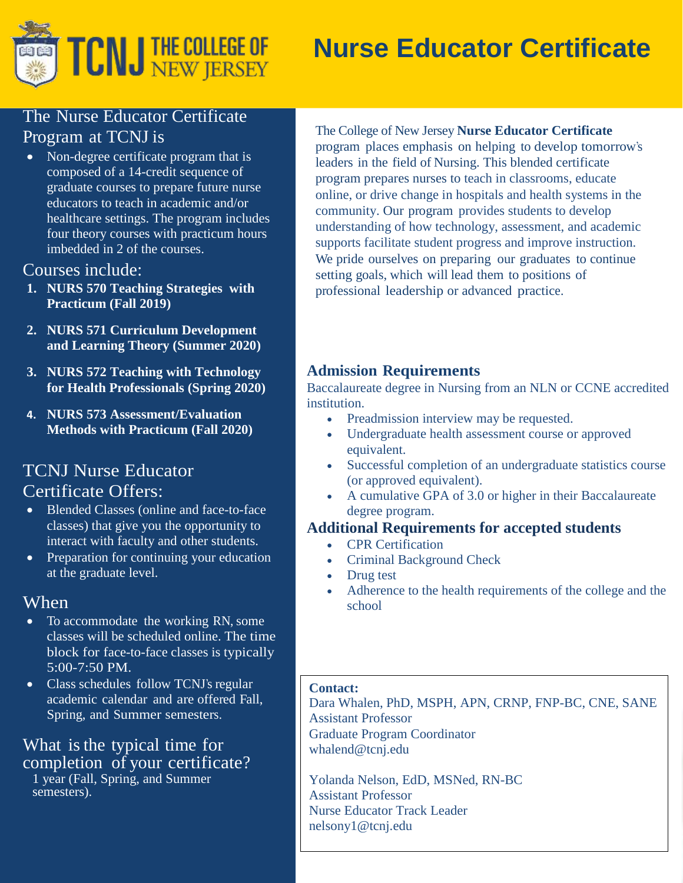

# **Nurse Educator Certificate**

# The Nurse Educator Certificate Program at TCNJ is

• Non-degree certificate program that is composed of a 14-credit sequence of graduate courses to prepare future nurse educators to teach in academic and/or healthcare settings. The program includes four theory courses with practicum hours imbedded in 2 of the courses.

## Courses include:

- **1. NURS 570 Teaching Strategies with Practicum (Fall 2019)**
- **2. NURS 571 Curriculum Development and Learning Theory (Summer 2020)**
- **3. NURS 572 Teaching with Technology for Health Professionals (Spring 2020)**
- **4. NURS 573 Assessment/Evaluation Methods with Practicum (Fall 2020)**

# TCNJ Nurse Educator Certificate Offers:

- Blended Classes (online and face-to-face classes) that give you the opportunity to interact with faculty and other students.
- Preparation for continuing your education at the graduate level.

# **When**

- To accommodate the working RN, some classes will be scheduled online. The time block for face-to-face classes is typically 5:00-7:50 PM.
- Class schedules follow TCNJ's regular academic calendar and are offered Fall, Spring, and Summer semesters.

#### What is the typical time for completion of your certificate? 1 year (Fall, Spring, and Summer

semesters).

The College of New Jersey **Nurse Educator Certificate** program places emphasis on helping to develop tomorrow's leaders in the field of Nursing. This blended certificate program prepares nurses to teach in classrooms, educate online, or drive change in hospitals and health systems in the community. Our program provides students to develop understanding of how technology, assessment, and academic supports facilitate student progress and improve instruction.

We pride ourselves on preparing our graduates to continue setting goals, which will lead them to positions of professional leadership or advanced practice.

## **Admission Requirements**

Baccalaureate degree in Nursing from an NLN or CCNE accredited institution.

- Preadmission interview may be requested.
- Undergraduate health assessment course or approved equivalent.
- Successful completion of an undergraduate statistics course (or approved equivalent).
- A cumulative GPA of 3.0 or higher in their Baccalaureate degree program.

## **Additional Requirements for accepted students**

- CPR Certification
- Criminal Background Check
- Drug test
- Adherence to the health requirements of the college and the school

#### **Contact:**

Dara Whalen, PhD, MSPH, APN, CRNP, FNP-BC, CNE, SANE Assistant Professor Graduate Program Coordinator whalend@tcnj.edu

Yolanda Nelson, EdD, MSNed, RN-BC Assistant Professor Nurse Educator Track Leader nelsony1@tcnj.edu